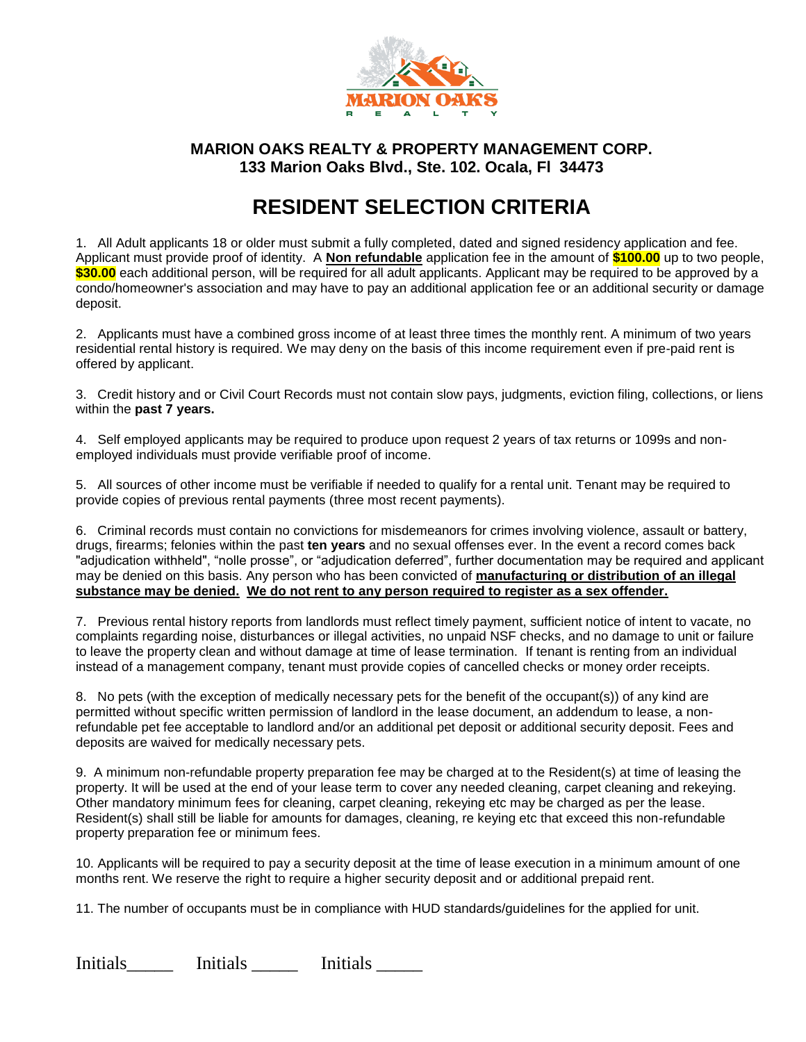

## **MARION OAKS REALTY & PROPERTY MANAGEMENT CORP. 133 Marion Oaks Blvd., Ste. 102. Ocala, Fl 34473**

## **RESIDENT SELECTION CRITERIA**

1. All Adult applicants 18 or older must submit a fully completed, dated and signed residency application and fee. Applicant must provide proof of identity. A **Non refundable** application fee in the amount of **\$100.00** up to two people, **\$30.00** each additional person, will be required for all adult applicants. Applicant may be required to be approved by a condo/homeowner's association and may have to pay an additional application fee or an additional security or damage deposit.

2. Applicants must have a combined gross income of at least three times the monthly rent. A minimum of two years residential rental history is required. We may deny on the basis of this income requirement even if pre-paid rent is offered by applicant.

3. Credit history and or Civil Court Records must not contain slow pays, judgments, eviction filing, collections, or liens within the **past 7 years.**

4. Self employed applicants may be required to produce upon request 2 years of tax returns or 1099s and nonemployed individuals must provide verifiable proof of income.

5. All sources of other income must be verifiable if needed to qualify for a rental unit. Tenant may be required to provide copies of previous rental payments (three most recent payments).

6. Criminal records must contain no convictions for misdemeanors for crimes involving violence, assault or battery, drugs, firearms; felonies within the past **ten years** and no sexual offenses ever. In the event a record comes back "adjudication withheld", "nolle prosse", or "adjudication deferred", further documentation may be required and applicant may be denied on this basis. Any person who has been convicted of **manufacturing or distribution of an illegal substance may be denied. We do not rent to any person required to register as a sex offender.**

7. Previous rental history reports from landlords must reflect timely payment, sufficient notice of intent to vacate, no complaints regarding noise, disturbances or illegal activities, no unpaid NSF checks, and no damage to unit or failure to leave the property clean and without damage at time of lease termination. If tenant is renting from an individual instead of a management company, tenant must provide copies of cancelled checks or money order receipts.

8. No pets (with the exception of medically necessary pets for the benefit of the occupant(s)) of any kind are permitted without specific written permission of landlord in the lease document, an addendum to lease, a nonrefundable pet fee acceptable to landlord and/or an additional pet deposit or additional security deposit. Fees and deposits are waived for medically necessary pets.

9. A minimum non-refundable property preparation fee may be charged at to the Resident(s) at time of leasing the property. It will be used at the end of your lease term to cover any needed cleaning, carpet cleaning and rekeying. Other mandatory minimum fees for cleaning, carpet cleaning, rekeying etc may be charged as per the lease. Resident(s) shall still be liable for amounts for damages, cleaning, re keying etc that exceed this non-refundable property preparation fee or minimum fees.

10. Applicants will be required to pay a security deposit at the time of lease execution in a minimum amount of one months rent. We reserve the right to require a higher security deposit and or additional prepaid rent.

11. The number of occupants must be in compliance with HUD standards/guidelines for the applied for unit.

Initials **Initials** Initials **Initials**